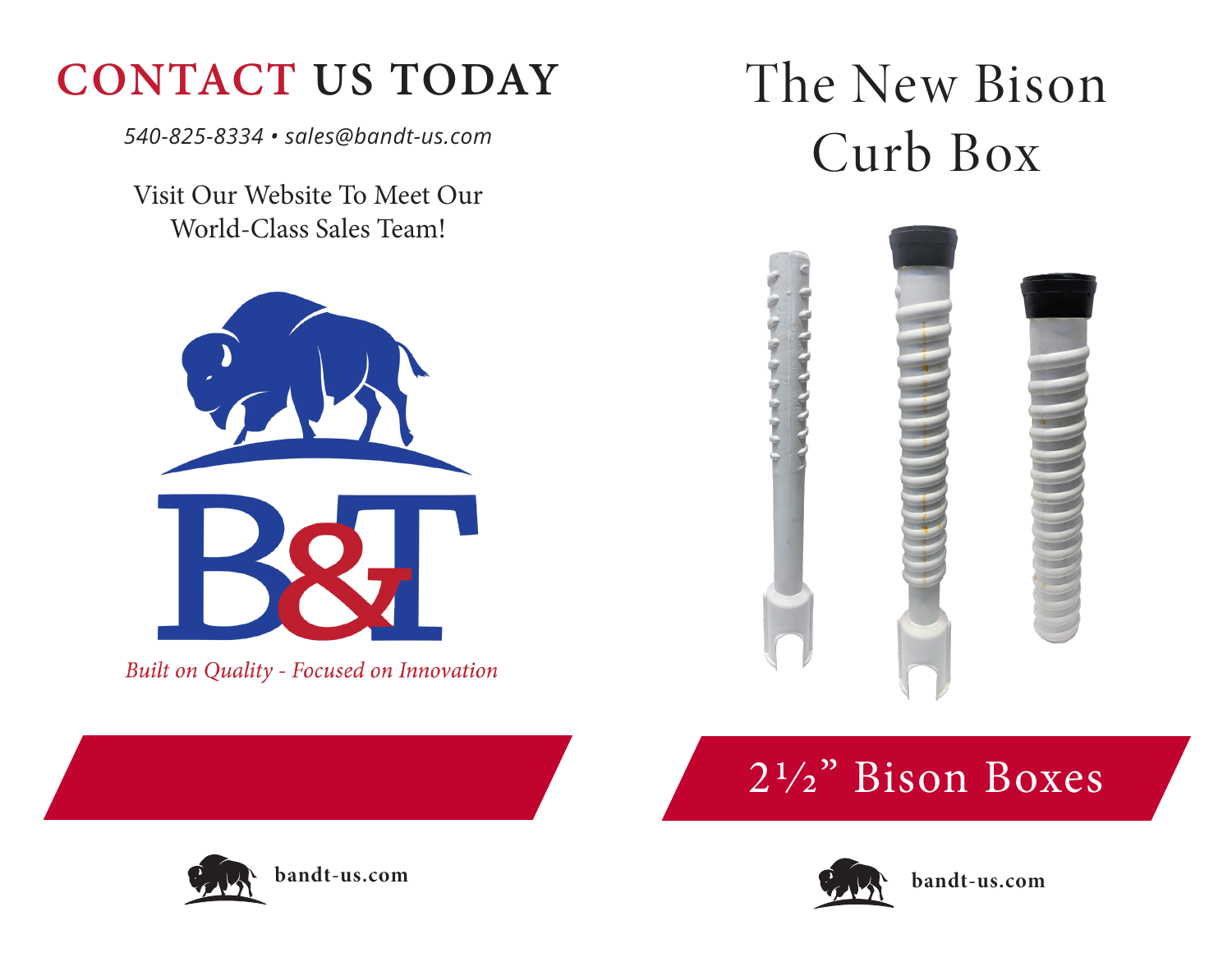## **CONTACT US TODAY**

*540-825-8334 • sales@bandt-us.com*

Visit Our Website To Meet Our World-Class Sales Team!



Built on Quality - Focused on Innovation

# The New Bison Curb Box











**bandt-us.com**